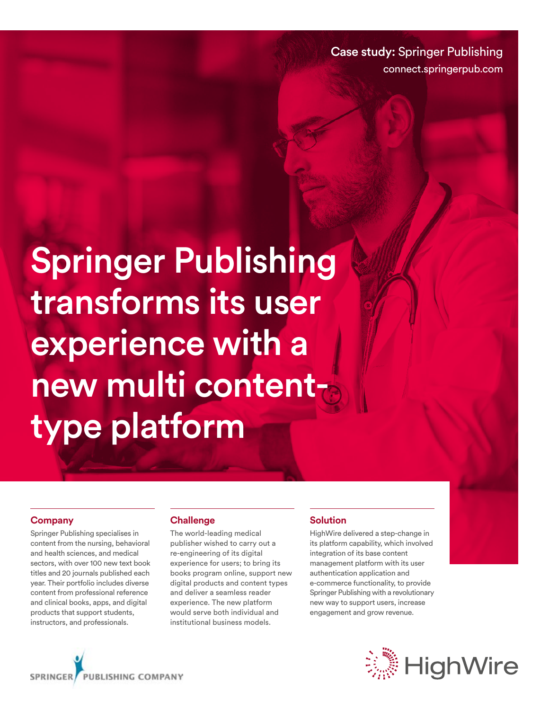Case study: Springer Publishing connect.springerpub.com

Springer Publishing transforms its user experience with a new multi contenttype platform

#### **Company**

Springer Publishing specialises in content from the nursing, behavioral and health sciences, and medical sectors, with over 100 new text book titles and 20 journals published each year. Their portfolio includes diverse content from professional reference and clinical books, apps, and digital products that support students, instructors, and professionals.

#### **Challenge**

The world-leading medical publisher wished to carry out a re-engineering of its digital experience for users; to bring its books program online, support new digital products and content types and deliver a seamless reader experience. The new platform would serve both individual and institutional business models.

#### **Solution**

HighWire delivered a step-change in its platform capability, which involved integration of its base content management platform with its user authentication application and e-commerce functionality, to provide Springer Publishing with a revolutionary new way to support users, increase engagement and grow revenue.



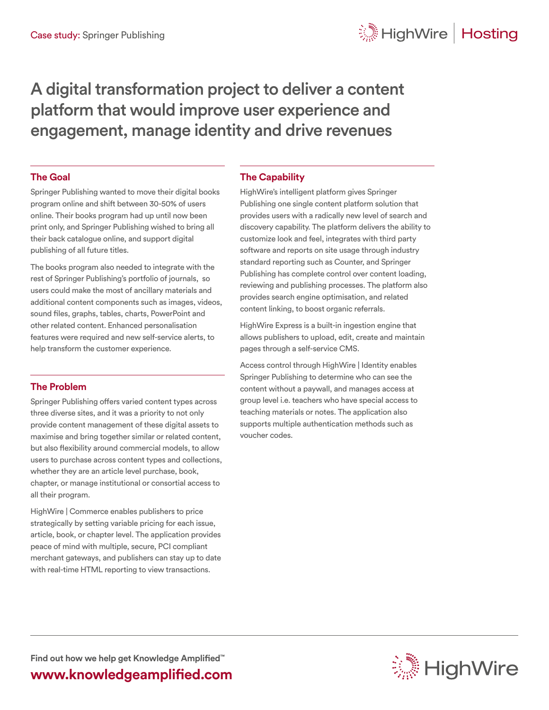# A digital transformation project to deliver a content platform that would improve user experience and engagement, manage identity and drive revenues

### **The Goal**

Springer Publishing wanted to move their digital books program online and shift between 30-50% of users online. Their books program had up until now been print only, and Springer Publishing wished to bring all their back catalogue online, and support digital publishing of all future titles.

The books program also needed to integrate with the rest of Springer Publishing's portfolio of journals, so users could make the most of ancillary materials and additional content components such as images, videos, sound files, graphs, tables, charts, PowerPoint and other related content. Enhanced personalisation features were required and new self-service alerts, to help transform the customer experience.

## **The Problem**

Springer Publishing offers varied content types across three diverse sites, and it was a priority to not only provide content management of these digital assets to maximise and bring together similar or related content, but also flexibility around commercial models, to allow users to purchase across content types and collections, whether they are an article level purchase, book, chapter, or manage institutional or consortial access to all their program.

HighWire | Commerce enables publishers to price strategically by setting variable pricing for each issue, article, book, or chapter level. The application provides peace of mind with multiple, secure, PCI compliant merchant gateways, and publishers can stay up to date with real-time HTML reporting to view transactions.

### **The Capability**

HighWire's intelligent platform gives Springer Publishing one single content platform solution that provides users with a radically new level of search and discovery capability. The platform delivers the ability to customize look and feel, integrates with third party software and reports on site usage through industry standard reporting such as Counter, and Springer Publishing has complete control over content loading, reviewing and publishing processes. The platform also provides search engine optimisation, and related content linking, to boost organic referrals.

HighWire Express is a built-in ingestion engine that allows publishers to upload, edit, create and maintain pages through a self-service CMS.

Access control through HighWire | Identity enables Springer Publishing to determine who can see the content without a paywall, and manages access at group level i.e. teachers who have special access to teaching materials or notes. The application also supports multiple authentication methods such as voucher codes.